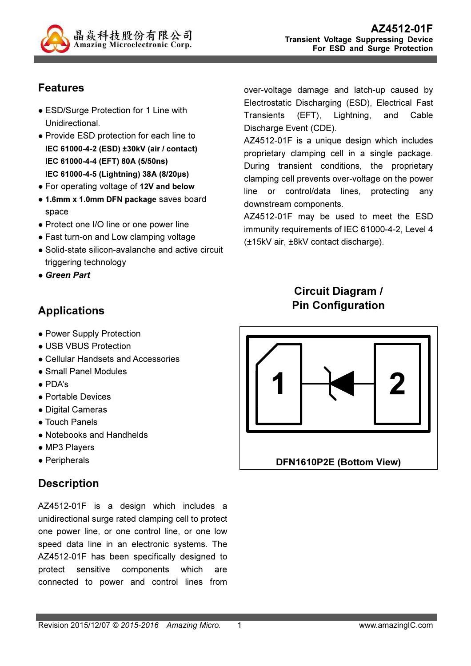

## Features

- ESD/Surge Protection for 1 Line with Unidirectional.
- Provide ESD protection for each line to IEC 61000-4-2 (ESD) ±30kV (air / contact) IEC 61000-4-4 (EFT) 80A (5/50ns) IEC 61000-4-5 (Lightning) 38A (8/20µs)
- For operating voltage of 12V and below
- 1.6mm x 1.0mm DFN package saves board space
- Protect one I/O line or one power line
- Fast turn-on and Low clamping voltage
- Solid-state silicon-avalanche and active circuit triggering technology
- Green Part

## Applications

- Power Supply Protection
- USB VBUS Protection
- Cellular Handsets and Accessories
- Small Panel Modules
- PDA's
- Portable Devices
- Digital Cameras
- Touch Panels
- Notebooks and Handhelds
- MP3 Players
- Peripherals

## **Description**

AZ4512-01F is a design which includes a unidirectional surge rated clamping cell to protect one power line, or one control line, or one low speed data line in an electronic systems. The AZ4512-01F has been specifically designed to protect sensitive components which are connected to power and control lines from

over-voltage damage and latch-up caused by Electrostatic Discharging (ESD), Electrical Fast Transients (EFT), Lightning, and Cable Discharge Event (CDE).

AZ4512-01F is a unique design which includes proprietary clamping cell in a single package. During transient conditions, the proprietary clamping cell prevents over-voltage on the power line or control/data lines, protecting any downstream components.

AZ4512-01F may be used to meet the ESD immunity requirements of IEC 61000-4-2, Level 4 (±15kV air, ±8kV contact discharge).

# Circuit Diagram / Pin Configuration

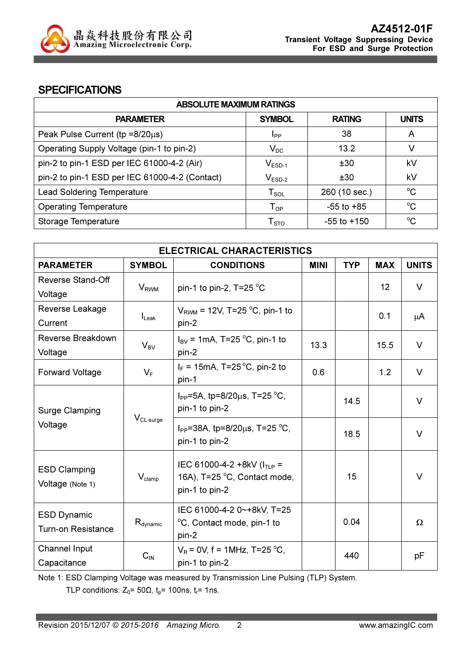

#### **SPECIFICATIONS**

| <b>ABSOLUTE MAXIMUM RATINGS</b>                |                             |                 |              |  |
|------------------------------------------------|-----------------------------|-----------------|--------------|--|
| <b>PARAMETER</b>                               | <b>SYMBOL</b>               | <b>RATING</b>   | <b>UNITS</b> |  |
| Peak Pulse Current ( $tp = 8/20\mu s$ )        | <b>I</b> pp                 | 38              | A            |  |
| Operating Supply Voltage (pin-1 to pin-2)      | $V_{DC}$                    | 13.2            | v            |  |
| pin-2 to pin-1 ESD per IEC 61000-4-2 (Air)     | $V_{ESD-1}$                 | ±30             | kV           |  |
| pin-2 to pin-1 ESD per IEC 61000-4-2 (Contact) | $V_{ESD-2}$                 | ±30             | kV           |  |
| <b>Lead Soldering Temperature</b>              | $T_{\textnormal{SOL}}$      | 260 (10 sec.)   | $^{\circ}C$  |  |
| <b>Operating Temperature</b>                   | ${\mathsf T}_{\textsf{OP}}$ | $-55$ to $+85$  | $^{\circ}C$  |  |
| Storage Temperature                            | ${\mathsf T}_{\text{STO}}$  | $-55$ to $+150$ | $^{\circ}C$  |  |

| <b>ELECTRICAL CHARACTERISTICS</b>                             |                         |                                                               |      |            |                 |              |
|---------------------------------------------------------------|-------------------------|---------------------------------------------------------------|------|------------|-----------------|--------------|
| <b>PARAMETER</b>                                              | <b>SYMBOL</b>           | <b>CONDITIONS</b>                                             |      | <b>TYP</b> | <b>MAX</b>      | <b>UNITS</b> |
| Reverse Stand-Off                                             |                         |                                                               |      |            | 12 <sup>2</sup> | $\vee$       |
| Voltage                                                       | <b>V</b> <sub>RWM</sub> | pin-1 to pin-2, $T=25 \degree C$                              |      |            |                 |              |
| Reverse Leakage                                               |                         | $V_{\text{RWM}}$ = 12V, T=25 °C, pin-1 to                     |      |            | 0.1             |              |
| Current                                                       | $I_{\text{Leak}}$       | pin-2                                                         |      |            |                 | μA           |
| Reverse Breakdown                                             |                         | $I_{BV}$ = 1mA, T=25 °C, pin-1 to                             | 13.3 |            | 15.5            | $\vee$       |
| Voltage                                                       | $V_{BV}$                | pin-2                                                         |      |            |                 |              |
| <b>Forward Voltage</b>                                        | $V_F$                   | $I_F$ = 15mA, T=25 °C, pin-2 to                               | 0.6  |            | 1.2             | V            |
|                                                               |                         | pin-1                                                         |      |            |                 |              |
|                                                               |                         | I <sub>PP</sub> =5A, tp=8/20 $\mu$ s, T=25 °C,                |      | 14.5       |                 | $\vee$       |
| <b>Surge Clamping</b>                                         |                         | pin-1 to pin-2                                                |      |            |                 |              |
| Voltage                                                       | $V_{CL-surge}$          | $I_{PP}$ =38A, tp=8/20 $\mu$ s, T=25 °C,                      |      | 18.5       |                 | $\vee$       |
|                                                               |                         | pin-1 to pin-2                                                |      |            |                 |              |
|                                                               |                         |                                                               |      |            |                 |              |
| <b>ESD Clamping</b><br>$V_{\text{clamp}}$<br>Voltage (Note 1) |                         | IEC 61000-4-2 +8kV ( $ITIP$ =<br>16A), T=25 °C, Contact mode, |      | 15         |                 | $\vee$       |
|                                                               |                         | pin-1 to pin-2                                                |      |            |                 |              |
|                                                               |                         |                                                               |      |            |                 |              |
| <b>ESD Dynamic</b>                                            |                         | IEC 61000-4-2 0~+8kV, T=25                                    |      | 0.04       |                 | $\Omega$     |
| $R_{\text{dynamic}}$<br><b>Turn-on Resistance</b>             |                         | °C, Contact mode, pin-1 to<br>pin-2                           |      |            |                 |              |
| Channel Input                                                 |                         | $V_R$ = 0V, f = 1MHz, T=25 °C,                                |      | 440        |                 |              |
| Capacitance                                                   | $C_{\text{IN}}$         | pin-1 to pin-2                                                |      |            |                 | рF           |

Note 1: ESD Clamping Voltage was measured by Transmission Line Pulsing (TLP) System.

TLP conditions:  $Z_0$ = 50 $\Omega$ ,  $t_p$ = 100ns,  $t_r$ = 1ns.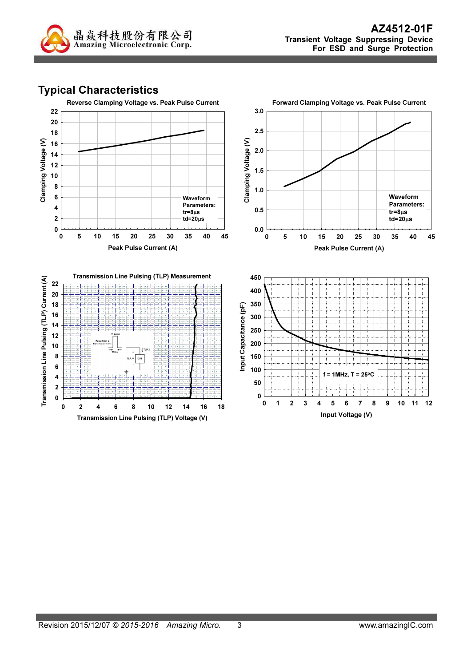

# Typical Characteristics

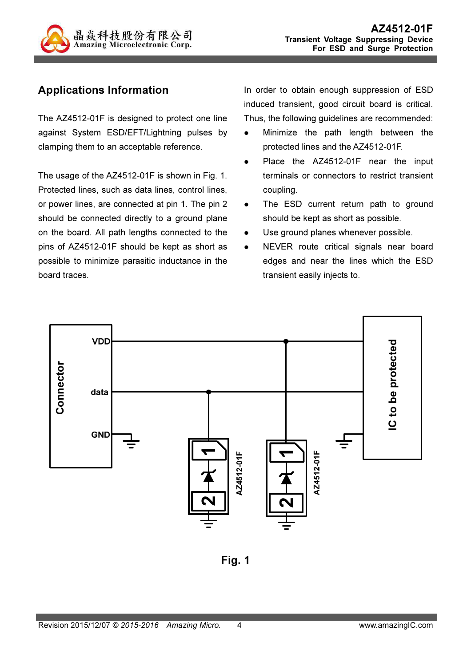

# Applications Information

The AZ4512-01F is designed to protect one line against System ESD/EFT/Lightning pulses by clamping them to an acceptable reference.

The usage of the AZ4512-01F is shown in Fig. 1. Protected lines, such as data lines, control lines, or power lines, are connected at pin 1. The pin 2 should be connected directly to a ground plane on the board. All path lengths connected to the pins of AZ4512-01F should be kept as short as possible to minimize parasitic inductance in the board traces.

In order to obtain enough suppression of ESD induced transient, good circuit board is critical. Thus, the following guidelines are recommended:

- Minimize the path length between the protected lines and the AZ4512-01F.
- Place the AZ4512-01F near the input terminals or connectors to restrict transient coupling.
- The ESD current return path to ground should be kept as short as possible.
- Use ground planes whenever possible.
- NEVER route critical signals near board edges and near the lines which the ESD transient easily injects to.



Fig. 1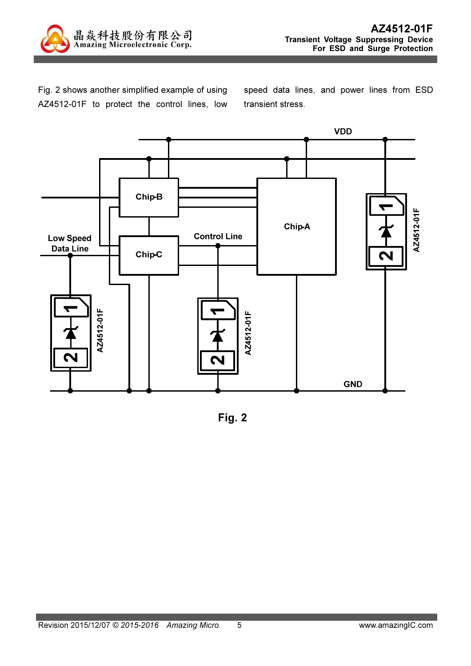

Fig. 2 shows another simplified example of using AZ4512-01F to protect the control lines, low speed data lines, and power lines from ESD transient stress.



Fig. 2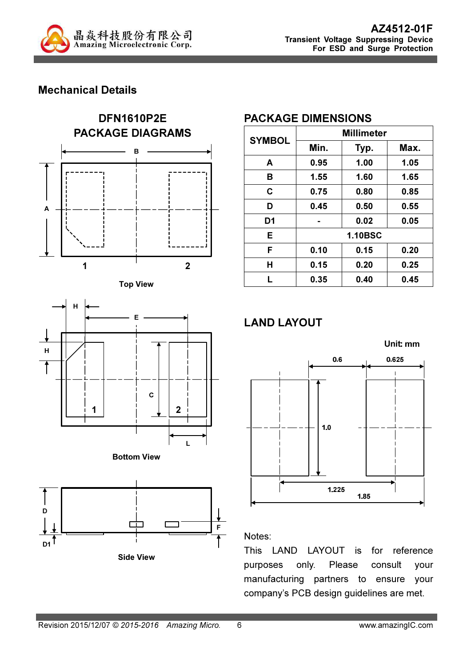

## Mechanical Details











Side View

## PACKAGE DIMENSIONS

| <b>SYMBOL</b>  | <b>Millimeter</b> |      |      |  |
|----------------|-------------------|------|------|--|
|                | Min.              | Typ. | Max. |  |
| A              | 0.95              | 1.00 | 1.05 |  |
| в              | 1.55              | 1.60 | 1.65 |  |
| C              | 0.75              | 0.80 | 0.85 |  |
| D              | 0.45              | 0.50 | 0.55 |  |
| D <sub>1</sub> |                   | 0.02 | 0.05 |  |
| E              | <b>1.10BSC</b>    |      |      |  |
| F              | 0.10              | 0.15 | 0.20 |  |
| H              | 0.15              | 0.20 | 0.25 |  |
| L              | 0.35              | 0.40 | 0.45 |  |

# LAND LAYOUT



#### Notes:

This LAND LAYOUT is for reference purposes only. Please consult your manufacturing partners to ensure your company's PCB design guidelines are met.